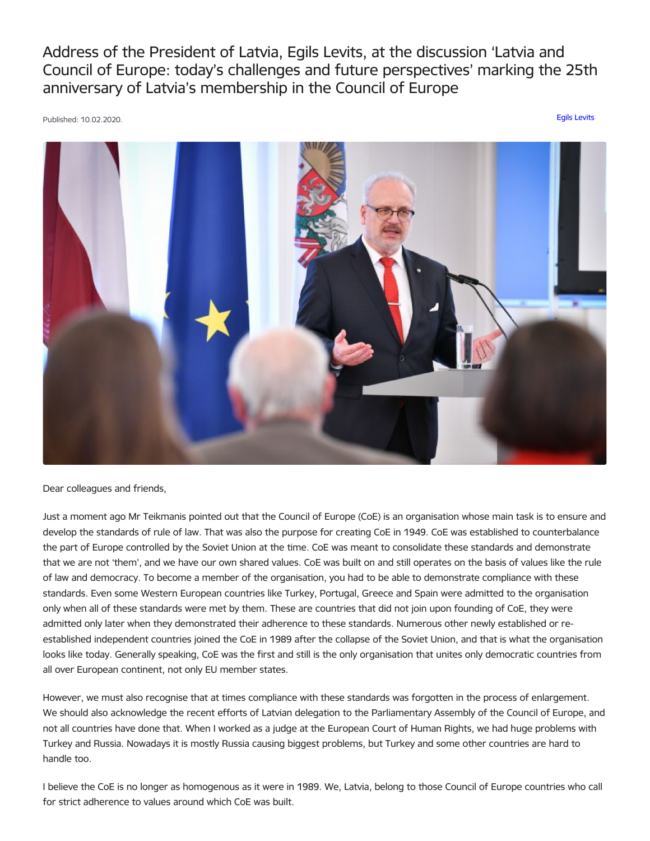Address of the President of Latvia, Egils Levits, at the discussion 'Latvia and Council of Europe: today's challenges and future perspectives' marking the 25th anniversary of Latvia's membership in the Council of Europe

Published: 10.02.2020. Egils [Levits](https://www.president.lv/en/articles?category%255B276%255D=276)



Dear colleagues and friends,

Just a moment ago Mr Teikmanis pointed out that the Council of Europe (CoE) is an organisation whose main task is to ensure and develop the standards of rule of law. That was also the purpose for creating CoE in 1949. CoE was established to counterbalance the part of Europe controlled by the Soviet Union at the time. CoE was meant to consolidate these standards and demonstrate that we are not 'them', and we have our own shared values. CoE was built on and still operates on the basis of values like the rule of law and democracy. To become a member of the organisation, you had to be able to demonstrate compliance with these standards. Even some Western European countries like Turkey, Portugal, Greece and Spain were admitted to the organisation only when all of these standards were met by them. These are countries that did not join upon founding of CoE, they were admitted only later when they demonstrated their adherence to these standards. Numerous other newly established or reestablished independent countries joined the CoE in 1989 after the collapse of the Soviet Union, and that is what the organisation looks like today. Generally speaking, CoE was the first and still is the only organisation that unites only democratic countries from all over European continent, not only EU member states.

However, we must also recognise that at times compliance with these standards was forgotten in the process of enlargement. We should also acknowledge the recent efforts of Latvian delegation to the Parliamentary Assembly of the Council of Europe, and not all countries have done that. When I worked as a judge at the European Court of Human Rights, we had huge problems with Turkey and Russia. Nowadays it is mostly Russia causing biggest problems, but Turkey and some other countries are hard to handle too.

I believe the CoE is no longer as homogenous as it were in 1989. We, Latvia, belong to those Council of Europe countries who call for strict adherence to values around which CoE was built.